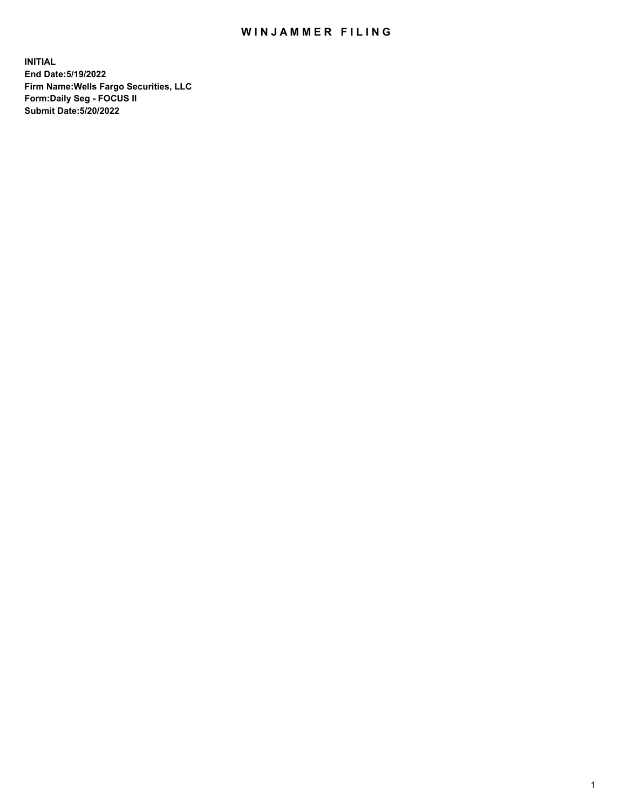## WIN JAMMER FILING

**INITIAL End Date:5/19/2022 Firm Name:Wells Fargo Securities, LLC Form:Daily Seg - FOCUS II Submit Date:5/20/2022**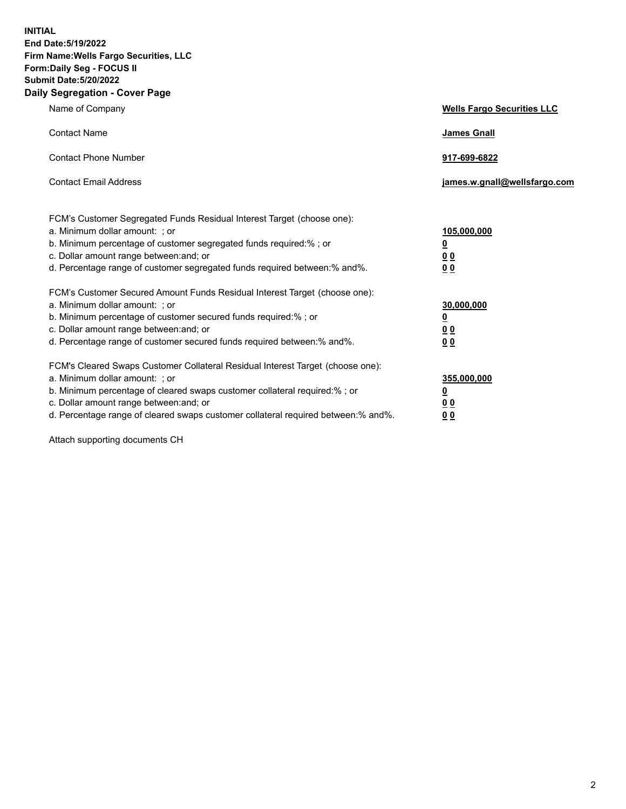**INITIAL End Date:5/19/2022 Firm Name:Wells Fargo Securities, LLC Form:Daily Seg - FOCUS II Submit Date:5/20/2022 Daily Segregation - Cover Page**

| Name of Company                                                                                                                                                                                                                                                                                                                | <b>Wells Fargo Securities LLC</b>                          |
|--------------------------------------------------------------------------------------------------------------------------------------------------------------------------------------------------------------------------------------------------------------------------------------------------------------------------------|------------------------------------------------------------|
| <b>Contact Name</b>                                                                                                                                                                                                                                                                                                            | <b>James Gnall</b>                                         |
| <b>Contact Phone Number</b>                                                                                                                                                                                                                                                                                                    | 917-699-6822                                               |
| <b>Contact Email Address</b>                                                                                                                                                                                                                                                                                                   | james.w.gnall@wellsfargo.com                               |
| FCM's Customer Segregated Funds Residual Interest Target (choose one):<br>a. Minimum dollar amount: ; or<br>b. Minimum percentage of customer segregated funds required:% ; or<br>c. Dollar amount range between: and; or<br>d. Percentage range of customer segregated funds required between:% and%.                         | 105,000,000<br><u>0</u><br>0 <sub>0</sub><br>00            |
| FCM's Customer Secured Amount Funds Residual Interest Target (choose one):<br>a. Minimum dollar amount: ; or<br>b. Minimum percentage of customer secured funds required:%; or<br>c. Dollar amount range between: and; or<br>d. Percentage range of customer secured funds required between:% and%.                            | 30,000,000<br><u>0</u><br>0 <sub>0</sub><br>0 <sub>0</sub> |
| FCM's Cleared Swaps Customer Collateral Residual Interest Target (choose one):<br>a. Minimum dollar amount: ; or<br>b. Minimum percentage of cleared swaps customer collateral required:% ; or<br>c. Dollar amount range between: and; or<br>d. Percentage range of cleared swaps customer collateral required between:% and%. | 355,000,000<br><u>0</u><br>00<br>00                        |

Attach supporting documents CH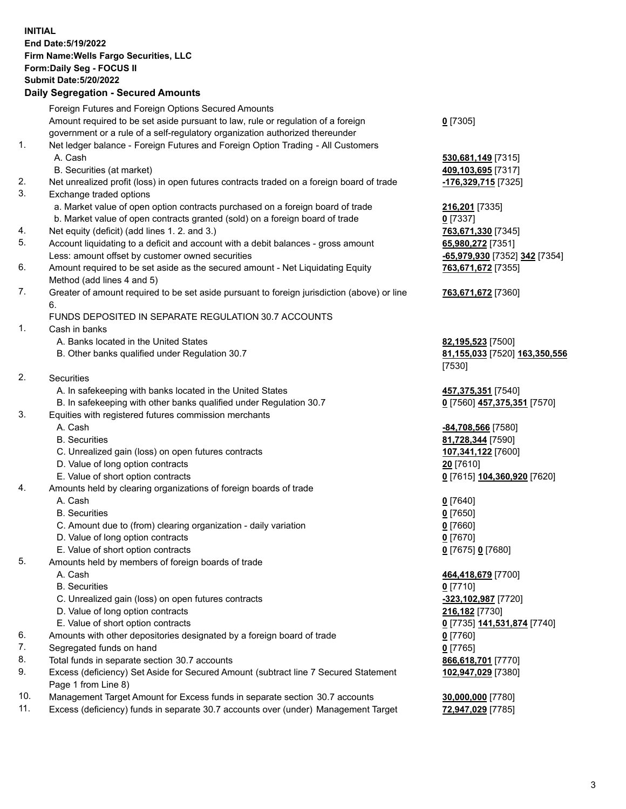**INITIAL End Date:5/19/2022 Firm Name:Wells Fargo Securities, LLC Form:Daily Seg - FOCUS II Submit Date:5/20/2022 Daily Segregation - Secured Amounts** Foreign Futures and Foreign Options Secured Amounts Amount required to be set aside pursuant to law, rule or regulation of a foreign government or a rule of a self-regulatory organization authorized thereunder

## 1. Net ledger balance - Foreign Futures and Foreign Option Trading - All Customers A. Cash **530,681,149** [7315]

- B. Securities (at market) **409,103,695** [7317]
- 2. Net unrealized profit (loss) in open futures contracts traded on a foreign board of trade **-176,329,715** [7325]
- 3. Exchange traded options
	- a. Market value of open option contracts purchased on a foreign board of trade **216,201** [7335]
	- b. Market value of open contracts granted (sold) on a foreign board of trade **0** [7337]
- 4. Net equity (deficit) (add lines 1. 2. and 3.) **763,671,330** [7345]
- 5. Account liquidating to a deficit and account with a debit balances gross amount **65,980,272** [7351] Less: amount offset by customer owned securities **-65,979,930** [7352] **342** [7354]
- 6. Amount required to be set aside as the secured amount Net Liquidating Equity Method (add lines 4 and 5)
- 7. Greater of amount required to be set aside pursuant to foreign jurisdiction (above) or line 6.

## FUNDS DEPOSITED IN SEPARATE REGULATION 30.7 ACCOUNTS

- 1. Cash in banks
	- A. Banks located in the United States **82,195,523** [7500]
	- B. Other banks qualified under Regulation 30.7 **81,155,033** [7520] **163,350,556**
- 2. Securities
	- A. In safekeeping with banks located in the United States **457,375,351** [7540]
- B. In safekeeping with other banks qualified under Regulation 30.7 **0** [7560] **457,375,351** [7570]
- 3. Equities with registered futures commission merchants
	-
	-
	- C. Unrealized gain (loss) on open futures contracts **107,341,122** [7600]
	- D. Value of long option contracts **20** [7610]
	- E. Value of short option contracts **0** [7615] **104,360,920** [7620]
- 4. Amounts held by clearing organizations of foreign boards of trade
	- A. Cash **0** [7640]
	- B. Securities **0** [7650]
	- C. Amount due to (from) clearing organization daily variation **0** [7660]
	- D. Value of long option contracts **0** [7670]
	- E. Value of short option contracts **0** [7675] **0** [7680]
- 5. Amounts held by members of foreign boards of trade
	-
	- B. Securities **0** [7710]
	- C. Unrealized gain (loss) on open futures contracts **-323,102,987** [7720]
	- D. Value of long option contracts **216,182** [7730]
	- E. Value of short option contracts **0** [7735] **141,531,874** [7740]
- 6. Amounts with other depositories designated by a foreign board of trade **0** [7760]
- 7. Segregated funds on hand **0** [7765]
- 8. Total funds in separate section 30.7 accounts **866,618,701** [7770]
- 9. Excess (deficiency) Set Aside for Secured Amount (subtract line 7 Secured Statement Page 1 from Line 8)
- 10. Management Target Amount for Excess funds in separate section 30.7 accounts **30,000,000** [7780]
- 11. Excess (deficiency) funds in separate 30.7 accounts over (under) Management Target **72,947,029** [7785]
- **0** [7305]
- 
- **763,671,672** [7355]

## **763,671,672** [7360]

[7530]

 A. Cash **-84,708,566** [7580] B. Securities **81,728,344** [7590]

 A. Cash **464,418,679** [7700] **102,947,029** [7380]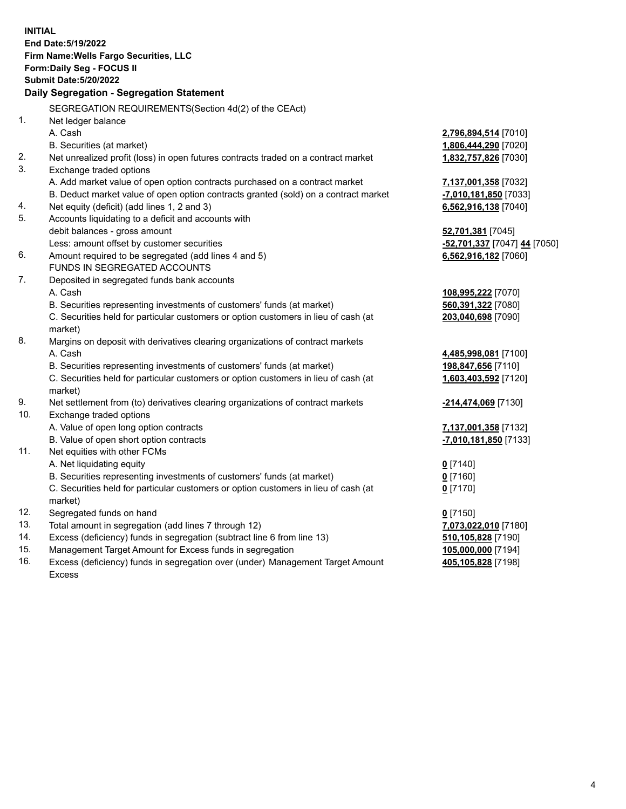**INITIAL End Date:5/19/2022 Firm Name:Wells Fargo Securities, LLC Form:Daily Seg - FOCUS II Submit Date:5/20/2022 Daily Segregation - Segregation Statement** SEGREGATION REQUIREMENTS(Section 4d(2) of the CEAct) 1. Net ledger balance A. Cash **2,796,894,514** [7010] B. Securities (at market) **1,806,444,290** [7020] 2. Net unrealized profit (loss) in open futures contracts traded on a contract market **1,832,757,826** [7030] 3. Exchange traded options A. Add market value of open option contracts purchased on a contract market **7,137,001,358** [7032] B. Deduct market value of open option contracts granted (sold) on a contract market **-7,010,181,850** [7033] 4. Net equity (deficit) (add lines 1, 2 and 3) **6,562,916,138** [7040] 5. Accounts liquidating to a deficit and accounts with debit balances - gross amount **52,701,381** [7045] Less: amount offset by customer securities **-52,701,337** [7047] **44** [7050] 6. Amount required to be segregated (add lines 4 and 5) **6,562,916,182** [7060] FUNDS IN SEGREGATED ACCOUNTS 7. Deposited in segregated funds bank accounts A. Cash **108,995,222** [7070] B. Securities representing investments of customers' funds (at market) **560,391,322** [7080] C. Securities held for particular customers or option customers in lieu of cash (at market) **203,040,698** [7090] 8. Margins on deposit with derivatives clearing organizations of contract markets A. Cash **4,485,998,081** [7100] B. Securities representing investments of customers' funds (at market) **198,847,656** [7110] C. Securities held for particular customers or option customers in lieu of cash (at market) **1,603,403,592** [7120] 9. Net settlement from (to) derivatives clearing organizations of contract markets **-214,474,069** [7130] 10. Exchange traded options A. Value of open long option contracts **7,137,001,358** [7132] B. Value of open short option contracts **-7,010,181,850** [7133] 11. Net equities with other FCMs A. Net liquidating equity **0** [7140] B. Securities representing investments of customers' funds (at market) **0** [7160] C. Securities held for particular customers or option customers in lieu of cash (at market) **0** [7170] 12. Segregated funds on hand **0** [7150] 13. Total amount in segregation (add lines 7 through 12) **7,073,022,010** [7180] 14. Excess (deficiency) funds in segregation (subtract line 6 from line 13) **510,105,828** [7190] 15. Management Target Amount for Excess funds in segregation **105,000,000** [7194] 16. Excess (deficiency) funds in segregation over (under) Management Target Amount **405,105,828** [7198]

Excess